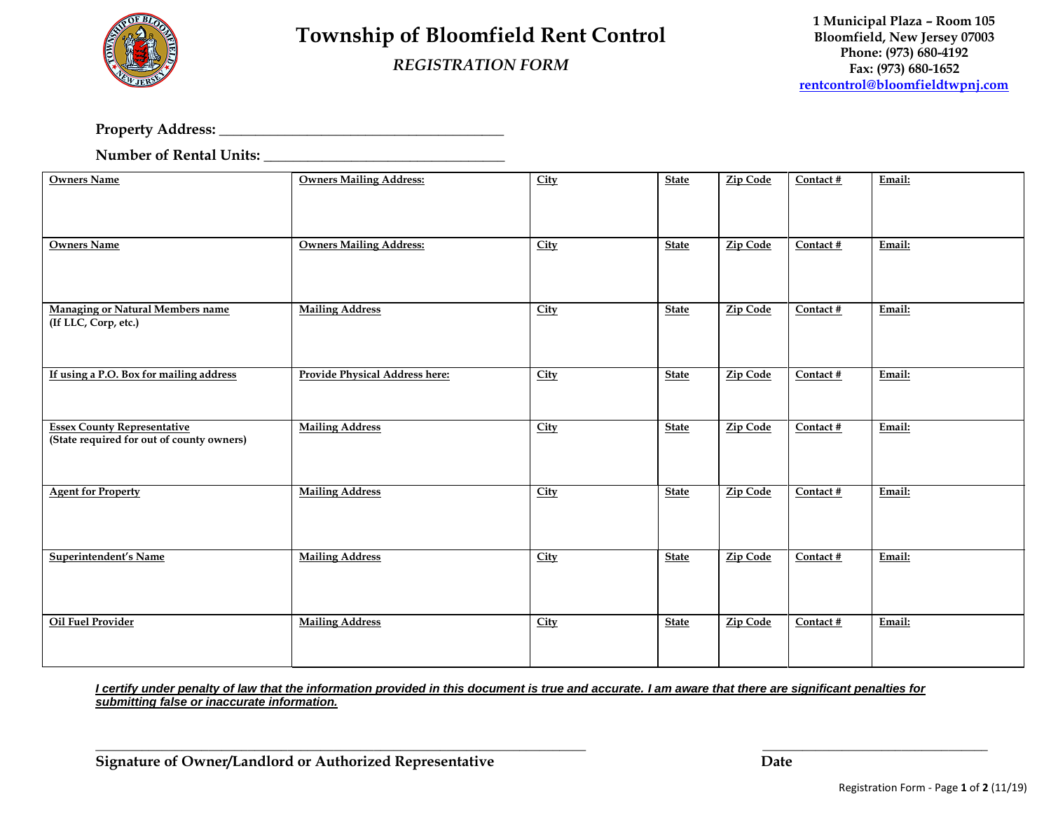

## **Township of Bloomfield Rent Control**

## *REGISTRATION FORM*

**Property Address: \_\_\_\_\_\_\_\_\_\_\_\_\_\_\_\_\_\_\_\_\_\_\_\_\_\_\_\_\_\_\_\_\_\_\_\_\_\_\_**

**Number of Rental Units: \_\_\_\_\_\_\_\_\_\_\_\_\_\_\_\_\_\_\_\_\_\_\_\_\_\_\_\_\_\_\_\_\_**

| <b>Owners Name</b>                                                              | <b>Owners Mailing Address:</b> | City        | <b>State</b> | <b>Zip Code</b> | $\overline{\text{Context H}}$ | Email: |
|---------------------------------------------------------------------------------|--------------------------------|-------------|--------------|-----------------|-------------------------------|--------|
| <b>Owners Name</b>                                                              | <b>Owners Mailing Address:</b> | City        | <b>State</b> | Zip Code        | Contact #                     | Email: |
| <b>Managing or Natural Members name</b><br>(If LLC, Corp, etc.)                 | <b>Mailing Address</b>         | <b>City</b> | <b>State</b> | Zip Code        | Contact #                     | Email: |
| If using a P.O. Box for mailing address                                         | Provide Physical Address here: | City        | <b>State</b> | Zip Code        | Contact #                     | Email: |
| <b>Essex County Representative</b><br>(State required for out of county owners) | <b>Mailing Address</b>         | City        | <b>State</b> | Zip Code        | Contact #                     | Email: |
| <b>Agent for Property</b>                                                       | <b>Mailing Address</b>         | <b>City</b> | <b>State</b> | <b>Zip Code</b> | Contact #                     | Email: |
| Superintendent's Name                                                           | <b>Mailing Address</b>         | City        | <b>State</b> | <b>Zip Code</b> | Contact #                     | Email: |
| <b>Oil Fuel Provider</b>                                                        | <b>Mailing Address</b>         | City        | <b>State</b> | <b>Zip Code</b> | Contact #                     | Email: |

*I certify under penalty of law that the information provided in this document is true and accurate. I am aware that there are significant penalties for submitting false or inaccurate information.*

\_\_\_\_\_\_\_\_\_\_\_\_\_\_\_\_\_\_\_\_\_\_\_\_\_\_\_\_\_\_\_\_\_\_\_\_\_\_\_\_\_\_\_\_\_\_\_\_\_\_\_\_\_\_\_\_\_\_\_\_\_\_\_\_\_\_\_\_\_\_\_\_\_\_ **\_\_\_\_\_\_\_\_\_\_\_\_\_\_\_\_\_\_\_\_\_\_\_\_\_\_\_\_\_\_\_\_\_\_**